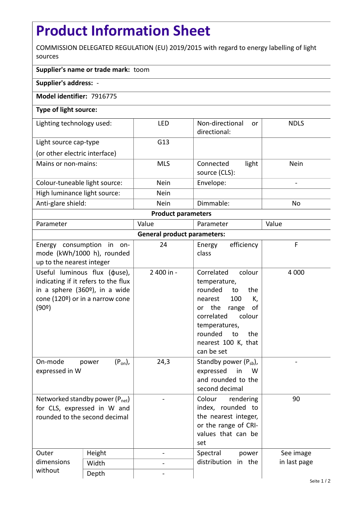## **Product Information Sheet**

COMMISSION DELEGATED REGULATION (EU) 2019/2015 with regard to energy labelling of light sources

## **Supplier's name or trade mark:** toom

**Supplier's address:** -

## **Model identifier:** 7916775

## **Type of light source:**

| Lighting technology used:     | LFD         | Non-directional<br><sub>or</sub><br>directional: | <b>NDLS</b> |  |  |  |
|-------------------------------|-------------|--------------------------------------------------|-------------|--|--|--|
| Light source cap-type         | G13         |                                                  |             |  |  |  |
| (or other electric interface) |             |                                                  |             |  |  |  |
| Mains or non-mains:           | <b>MLS</b>  | light<br>Connected<br>source (CLS):              | <b>Nein</b> |  |  |  |
| Colour-tuneable light source: | <b>Nein</b> | Envelope:                                        |             |  |  |  |
| High luminance light source:  | <b>Nein</b> |                                                  |             |  |  |  |
| Anti-glare shield:            | <b>Nein</b> | Dimmable:                                        | No          |  |  |  |
| <b>Product parameters</b>     |             |                                                  |             |  |  |  |

| Parameter                                                    |                                                                                                                                                             | Value      | Parameter                                                                                                                                                                                                           | Value        |  |  |  |
|--------------------------------------------------------------|-------------------------------------------------------------------------------------------------------------------------------------------------------------|------------|---------------------------------------------------------------------------------------------------------------------------------------------------------------------------------------------------------------------|--------------|--|--|--|
| <b>General product parameters:</b>                           |                                                                                                                                                             |            |                                                                                                                                                                                                                     |              |  |  |  |
| up to the nearest integer                                    | Energy consumption in on-<br>mode (kWh/1000 h), rounded                                                                                                     | 24         | efficiency<br>Energy<br>class                                                                                                                                                                                       | F            |  |  |  |
| (90°)                                                        | Useful luminous flux ( $\phi$ use),<br>indicating if it refers to the flux<br>in a sphere (360 <sup>o</sup> ), in a wide<br>cone (120º) or in a narrow cone | 2 400 in - | Correlated<br>colour<br>temperature,<br>rounded<br>the<br>to<br>100<br>K,<br>nearest<br>or the<br>range<br>οf<br>correlated<br>colour<br>temperatures,<br>rounded<br>to<br>the<br>nearest 100 K, that<br>can be set | 4 0 0 0      |  |  |  |
| On-mode<br>expressed in W                                    | $(P_{on})$ ,<br>power                                                                                                                                       | 24,3       | Standby power $(P_{sb})$ ,<br>expressed<br>in<br>W<br>and rounded to the<br>second decimal                                                                                                                          |              |  |  |  |
| for CLS, expressed in W and<br>rounded to the second decimal | Networked standby power $(P_{net})$                                                                                                                         |            | Colour<br>rendering<br>index, rounded to<br>the nearest integer,<br>or the range of CRI-<br>values that can be<br>set                                                                                               | 90           |  |  |  |
| Outer<br>dimensions<br>without                               | Height                                                                                                                                                      |            | Spectral<br>power                                                                                                                                                                                                   | See image    |  |  |  |
|                                                              | Width                                                                                                                                                       |            | distribution<br>in the                                                                                                                                                                                              | in last page |  |  |  |
|                                                              | Depth                                                                                                                                                       |            |                                                                                                                                                                                                                     |              |  |  |  |